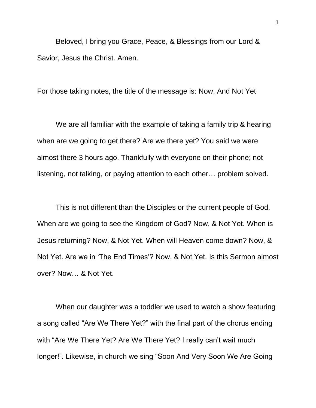Beloved, I bring you Grace, Peace, & Blessings from our Lord & Savior, Jesus the Christ. Amen.

For those taking notes, the title of the message is: Now, And Not Yet

We are all familiar with the example of taking a family trip & hearing when are we going to get there? Are we there yet? You said we were almost there 3 hours ago. Thankfully with everyone on their phone; not listening, not talking, or paying attention to each other… problem solved.

This is not different than the Disciples or the current people of God. When are we going to see the Kingdom of God? Now, & Not Yet. When is Jesus returning? Now, & Not Yet. When will Heaven come down? Now, & Not Yet. Are we in 'The End Times'? Now, & Not Yet. Is this Sermon almost over? Now… & Not Yet.

When our daughter was a toddler we used to watch a show featuring a song called "Are We There Yet?" with the final part of the chorus ending with "Are We There Yet? Are We There Yet? I really can't wait much longer!". Likewise, in church we sing "Soon And Very Soon We Are Going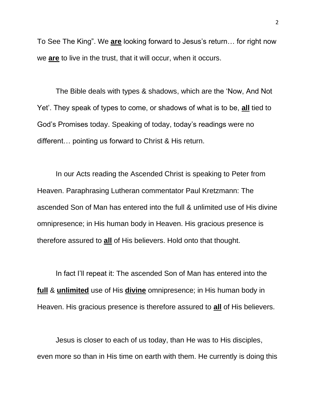To See The King". We **are** looking forward to Jesus's return… for right now we **are** to live in the trust, that it will occur, when it occurs.

The Bible deals with types & shadows, which are the 'Now, And Not Yet'. They speak of types to come, or shadows of what is to be, **all** tied to God's Promises today. Speaking of today, today's readings were no different… pointing us forward to Christ & His return.

In our Acts reading the Ascended Christ is speaking to Peter from Heaven. Paraphrasing Lutheran commentator Paul Kretzmann: The ascended Son of Man has entered into the full & unlimited use of His divine omnipresence; in His human body in Heaven. His gracious presence is therefore assured to **all** of His believers. Hold onto that thought.

In fact I'll repeat it: The ascended Son of Man has entered into the **full** & **unlimited** use of His **divine** omnipresence; in His human body in Heaven. His gracious presence is therefore assured to **all** of His believers.

Jesus is closer to each of us today, than He was to His disciples, even more so than in His time on earth with them. He currently is doing this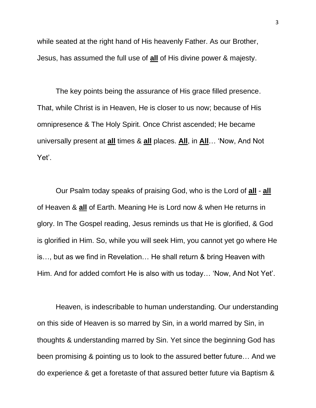while seated at the right hand of His heavenly Father. As our Brother, Jesus, has assumed the full use of **all** of His divine power & majesty.

The key points being the assurance of His grace filled presence. That, while Christ is in Heaven, He is closer to us now; because of His omnipresence & The Holy Spirit. Once Christ ascended; He became universally present at **all** times & **all** places. **All**, in **All**… 'Now, And Not Yet'.

Our Psalm today speaks of praising God, who is the Lord of **all** - **all** of Heaven & **all** of Earth. Meaning He is Lord now & when He returns in glory. In The Gospel reading, Jesus reminds us that He is glorified, & God is glorified in Him. So, while you will seek Him, you cannot yet go where He is…, but as we find in Revelation… He shall return & bring Heaven with Him. And for added comfort He is also with us today… 'Now, And Not Yet'.

Heaven, is indescribable to human understanding. Our understanding on this side of Heaven is so marred by Sin, in a world marred by Sin, in thoughts & understanding marred by Sin. Yet since the beginning God has been promising & pointing us to look to the assured better future… And we do experience & get a foretaste of that assured better future via Baptism &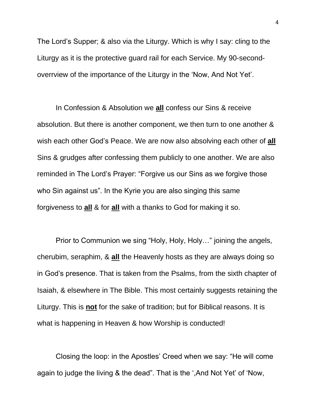The Lord's Supper; & also via the Liturgy. Which is why I say: cling to the Liturgy as it is the protective guard rail for each Service. My 90-secondoverrview of the importance of the Liturgy in the 'Now, And Not Yet'.

In Confession & Absolution we **all** confess our Sins & receive absolution. But there is another component, we then turn to one another & wish each other God's Peace. We are now also absolving each other of **all**  Sins & grudges after confessing them publicly to one another. We are also reminded in The Lord's Prayer: "Forgive us our Sins as we forgive those who Sin against us". In the Kyrie you are also singing this same forgiveness to **all** & for **all** with a thanks to God for making it so.

Prior to Communion we sing "Holy, Holy, Holy…" joining the angels, cherubim, seraphim, & **all** the Heavenly hosts as they are always doing so in God's presence. That is taken from the Psalms, from the sixth chapter of Isaiah, & elsewhere in The Bible. This most certainly suggests retaining the Liturgy. This is **not** for the sake of tradition; but for Biblical reasons. It is what is happening in Heaven & how Worship is conducted!

Closing the loop: in the Apostles' Creed when we say: "He will come again to judge the living & the dead". That is the ',And Not Yet' of 'Now,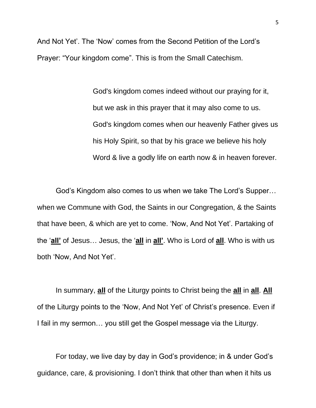And Not Yet'. The 'Now' comes from the Second Petition of the Lord's Prayer: "Your kingdom come". This is from the Small Catechism.

> God's kingdom comes indeed without our praying for it, but we ask in this prayer that it may also come to us. God's kingdom comes when our heavenly Father gives us his Holy Spirit, so that by his grace we believe his holy Word & live a godly life on earth now & in heaven forever.

God's Kingdom also comes to us when we take The Lord's Supper… when we Commune with God, the Saints in our Congregation, & the Saints that have been, & which are yet to come. 'Now, And Not Yet'. Partaking of the '**all'** of Jesus… Jesus, the '**all** in **all'**. Who is Lord of **all**. Who is with us both 'Now, And Not Yet'.

In summary, **all** of the Liturgy points to Christ being the **all** in **all**. **All** of the Liturgy points to the 'Now, And Not Yet' of Christ's presence. Even if I fail in my sermon… you still get the Gospel message via the Liturgy.

For today, we live day by day in God's providence; in & under God's guidance, care, & provisioning. I don't think that other than when it hits us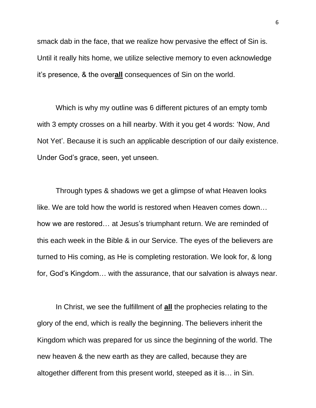smack dab in the face, that we realize how pervasive the effect of Sin is. Until it really hits home, we utilize selective memory to even acknowledge it's presence, & the over**all** consequences of Sin on the world.

Which is why my outline was 6 different pictures of an empty tomb with 3 empty crosses on a hill nearby. With it you get 4 words: 'Now, And Not Yet'. Because it is such an applicable description of our daily existence. Under God's grace, seen, yet unseen.

Through types & shadows we get a glimpse of what Heaven looks like. We are told how the world is restored when Heaven comes down… how we are restored… at Jesus's triumphant return. We are reminded of this each week in the Bible & in our Service. The eyes of the believers are turned to His coming, as He is completing restoration. We look for, & long for, God's Kingdom… with the assurance, that our salvation is always near.

In Christ, we see the fulfillment of **all** the prophecies relating to the glory of the end, which is really the beginning. The believers inherit the Kingdom which was prepared for us since the beginning of the world. The new heaven & the new earth as they are called, because they are altogether different from this present world, steeped as it is… in Sin.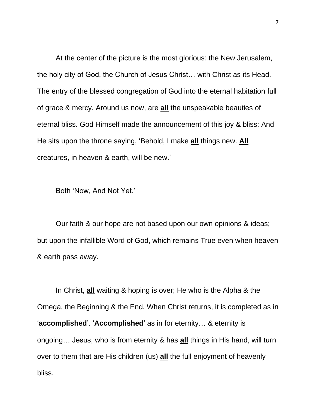At the center of the picture is the most glorious: the New Jerusalem, the holy city of God, the Church of Jesus Christ… with Christ as its Head. The entry of the blessed congregation of God into the eternal habitation full of grace & mercy. Around us now, are **all** the unspeakable beauties of eternal bliss. God Himself made the announcement of this joy & bliss: And He sits upon the throne saying, 'Behold, I make **all** things new. **All** creatures, in heaven & earth, will be new.'

Both 'Now, And Not Yet.'

Our faith & our hope are not based upon our own opinions & ideas; but upon the infallible Word of God, which remains True even when heaven & earth pass away.

In Christ, **all** waiting & hoping is over; He who is the Alpha & the Omega, the Beginning & the End. When Christ returns, it is completed as in '**accomplished**'. '**Accomplished**' as in for eternity… & eternity is ongoing… Jesus, who is from eternity & has **all** things in His hand, will turn over to them that are His children (us) **all** the full enjoyment of heavenly bliss.